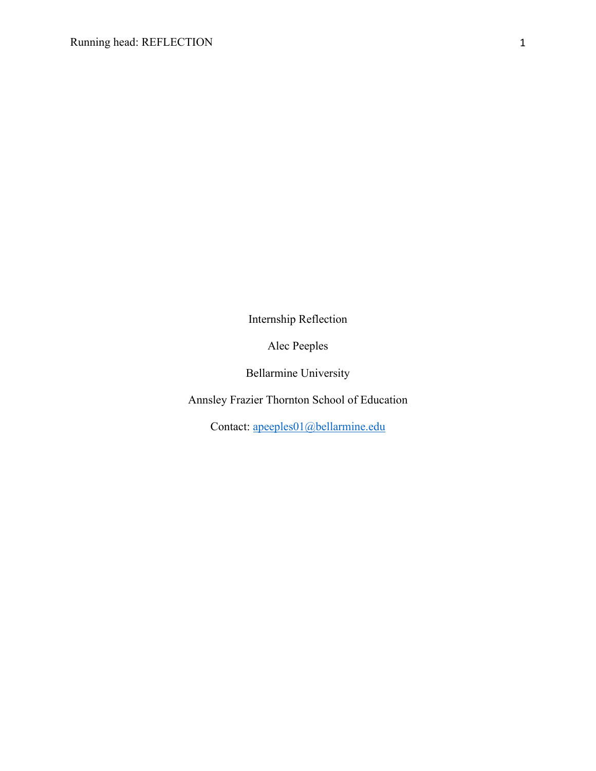Internship Reflection

Alec Peeples

Bellarmine University

Annsley Frazier Thornton School of Education

Contact: apeeples01@bellarmine.edu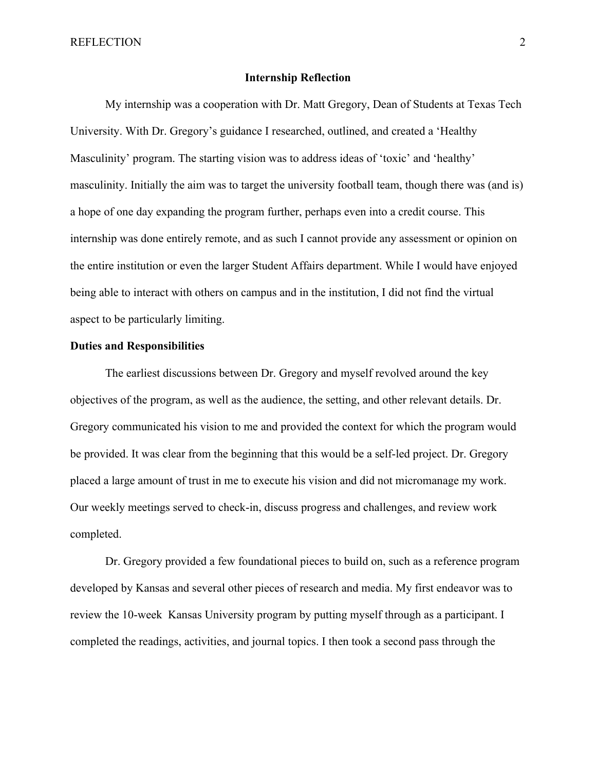REFLECTION 2

## **Internship Reflection**

My internship was a cooperation with Dr. Matt Gregory, Dean of Students at Texas Tech University. With Dr. Gregory's guidance I researched, outlined, and created a 'Healthy Masculinity' program. The starting vision was to address ideas of 'toxic' and 'healthy' masculinity. Initially the aim was to target the university football team, though there was (and is) a hope of one day expanding the program further, perhaps even into a credit course. This internship was done entirely remote, and as such I cannot provide any assessment or opinion on the entire institution or even the larger Student Affairs department. While I would have enjoyed being able to interact with others on campus and in the institution, I did not find the virtual aspect to be particularly limiting.

## **Duties and Responsibilities**

The earliest discussions between Dr. Gregory and myself revolved around the key objectives of the program, as well as the audience, the setting, and other relevant details. Dr. Gregory communicated his vision to me and provided the context for which the program would be provided. It was clear from the beginning that this would be a self-led project. Dr. Gregory placed a large amount of trust in me to execute his vision and did not micromanage my work. Our weekly meetings served to check-in, discuss progress and challenges, and review work completed.

Dr. Gregory provided a few foundational pieces to build on, such as a reference program developed by Kansas and several other pieces of research and media. My first endeavor was to review the 10-week Kansas University program by putting myself through as a participant. I completed the readings, activities, and journal topics. I then took a second pass through the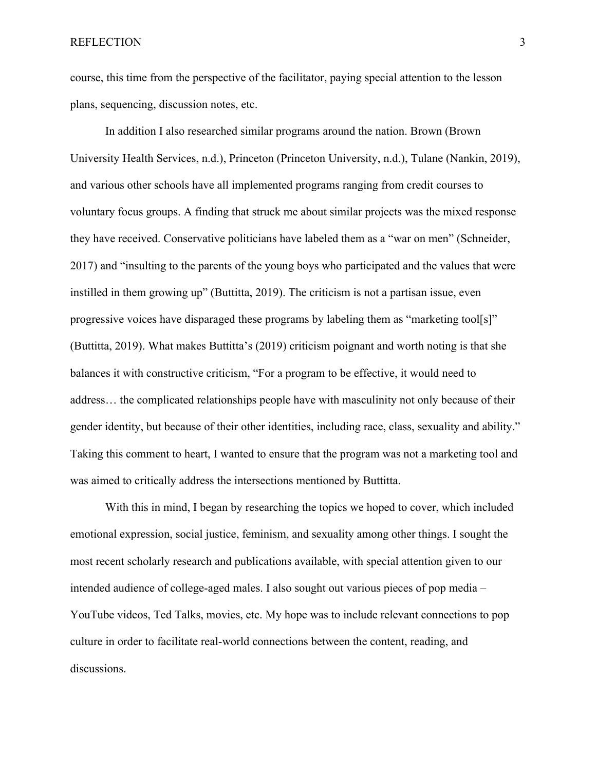course, this time from the perspective of the facilitator, paying special attention to the lesson plans, sequencing, discussion notes, etc.

In addition I also researched similar programs around the nation. Brown (Brown University Health Services, n.d.), Princeton (Princeton University, n.d.), Tulane (Nankin, 2019), and various other schools have all implemented programs ranging from credit courses to voluntary focus groups. A finding that struck me about similar projects was the mixed response they have received. Conservative politicians have labeled them as a "war on men" (Schneider, 2017) and "insulting to the parents of the young boys who participated and the values that were instilled in them growing up" (Buttitta, 2019). The criticism is not a partisan issue, even progressive voices have disparaged these programs by labeling them as "marketing tool[s]" (Buttitta, 2019). What makes Buttitta's (2019) criticism poignant and worth noting is that she balances it with constructive criticism, "For a program to be effective, it would need to address… the complicated relationships people have with masculinity not only because of their gender identity, but because of their other identities, including race, class, sexuality and ability." Taking this comment to heart, I wanted to ensure that the program was not a marketing tool and was aimed to critically address the intersections mentioned by Buttitta.

With this in mind, I began by researching the topics we hoped to cover, which included emotional expression, social justice, feminism, and sexuality among other things. I sought the most recent scholarly research and publications available, with special attention given to our intended audience of college-aged males. I also sought out various pieces of pop media – YouTube videos, Ted Talks, movies, etc. My hope was to include relevant connections to pop culture in order to facilitate real-world connections between the content, reading, and discussions.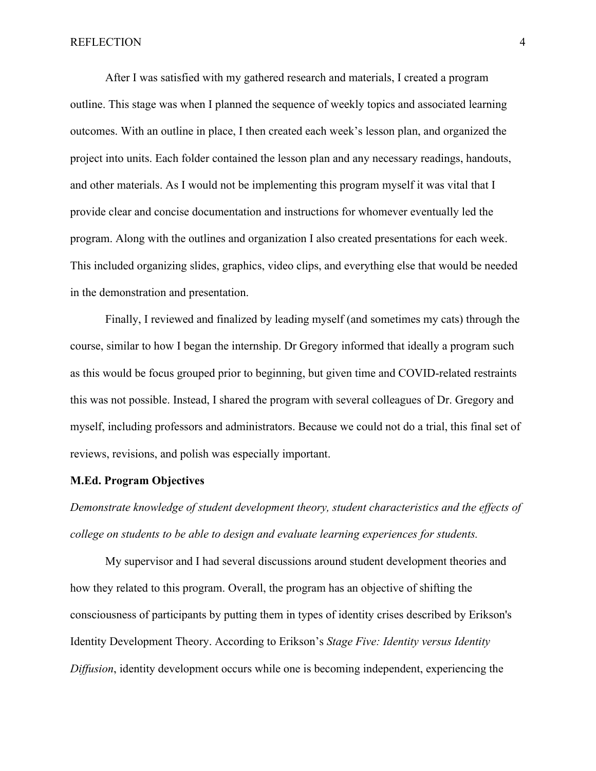## REFLECTION 4

After I was satisfied with my gathered research and materials, I created a program outline. This stage was when I planned the sequence of weekly topics and associated learning outcomes. With an outline in place, I then created each week's lesson plan, and organized the project into units. Each folder contained the lesson plan and any necessary readings, handouts, and other materials. As I would not be implementing this program myself it was vital that I provide clear and concise documentation and instructions for whomever eventually led the program. Along with the outlines and organization I also created presentations for each week. This included organizing slides, graphics, video clips, and everything else that would be needed in the demonstration and presentation.

Finally, I reviewed and finalized by leading myself (and sometimes my cats) through the course, similar to how I began the internship. Dr Gregory informed that ideally a program such as this would be focus grouped prior to beginning, but given time and COVID-related restraints this was not possible. Instead, I shared the program with several colleagues of Dr. Gregory and myself, including professors and administrators. Because we could not do a trial, this final set of reviews, revisions, and polish was especially important.

#### **M.Ed. Program Objectives**

*Demonstrate knowledge of student development theory, student characteristics and the effects of college on students to be able to design and evaluate learning experiences for students.*

My supervisor and I had several discussions around student development theories and how they related to this program. Overall, the program has an objective of shifting the consciousness of participants by putting them in types of identity crises described by Erikson's Identity Development Theory. According to Erikson's *Stage Five: Identity versus Identity Diffusion*, identity development occurs while one is becoming independent, experiencing the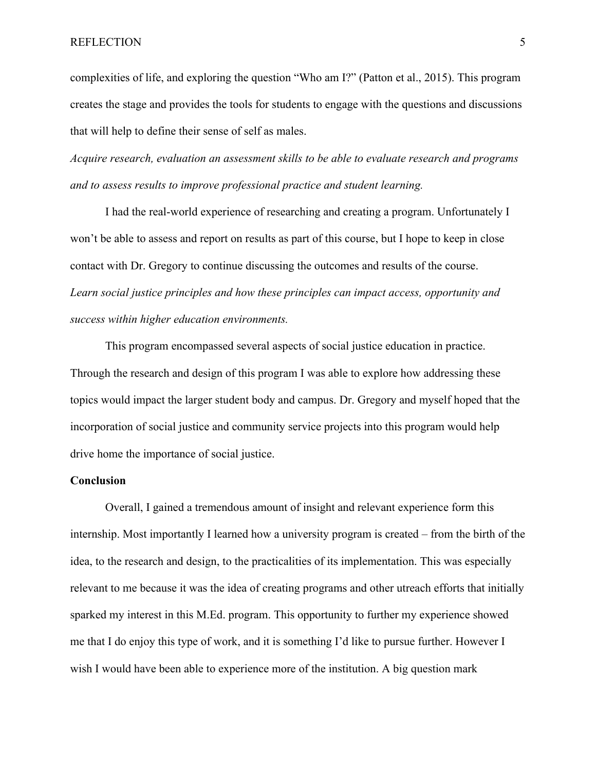## REFLECTION 5

complexities of life, and exploring the question "Who am I?" (Patton et al., 2015). This program creates the stage and provides the tools for students to engage with the questions and discussions that will help to define their sense of self as males.

*Acquire research, evaluation an assessment skills to be able to evaluate research and programs and to assess results to improve professional practice and student learning.*

I had the real-world experience of researching and creating a program. Unfortunately I won't be able to assess and report on results as part of this course, but I hope to keep in close contact with Dr. Gregory to continue discussing the outcomes and results of the course. *Learn social justice principles and how these principles can impact access, opportunity and success within higher education environments.*

This program encompassed several aspects of social justice education in practice. Through the research and design of this program I was able to explore how addressing these topics would impact the larger student body and campus. Dr. Gregory and myself hoped that the incorporation of social justice and community service projects into this program would help drive home the importance of social justice.

### **Conclusion**

Overall, I gained a tremendous amount of insight and relevant experience form this internship. Most importantly I learned how a university program is created – from the birth of the idea, to the research and design, to the practicalities of its implementation. This was especially relevant to me because it was the idea of creating programs and other utreach efforts that initially sparked my interest in this M.Ed. program. This opportunity to further my experience showed me that I do enjoy this type of work, and it is something I'd like to pursue further. However I wish I would have been able to experience more of the institution. A big question mark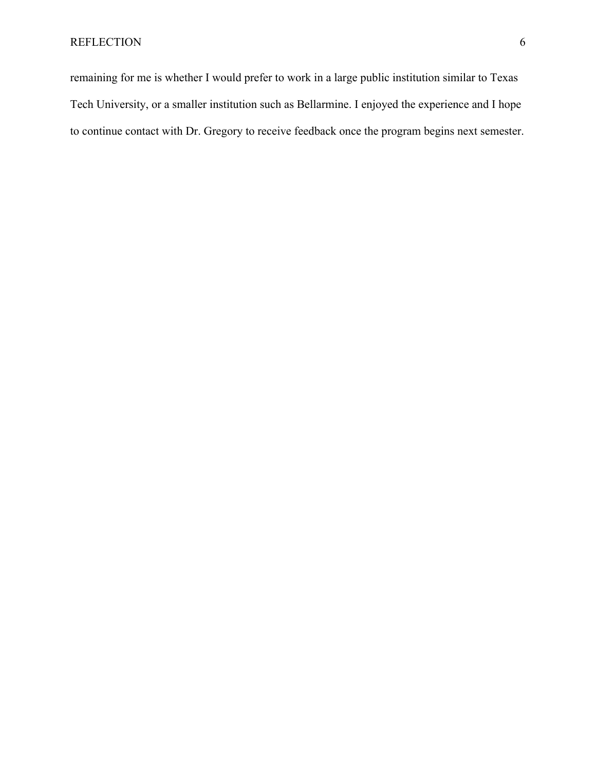remaining for me is whether I would prefer to work in a large public institution similar to Texas Tech University, or a smaller institution such as Bellarmine. I enjoyed the experience and I hope to continue contact with Dr. Gregory to receive feedback once the program begins next semester.